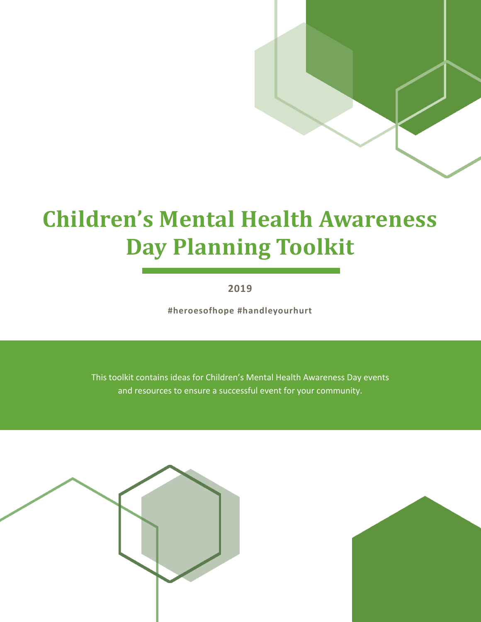# **Children's Mental Health Awareness Day Planning Toolkit**

**2019**

**#heroesofhope #handleyourhurt**

This toolkit contains ideas for Children's Mental Health Awareness Day events and resources to ensure a successful event for your community.



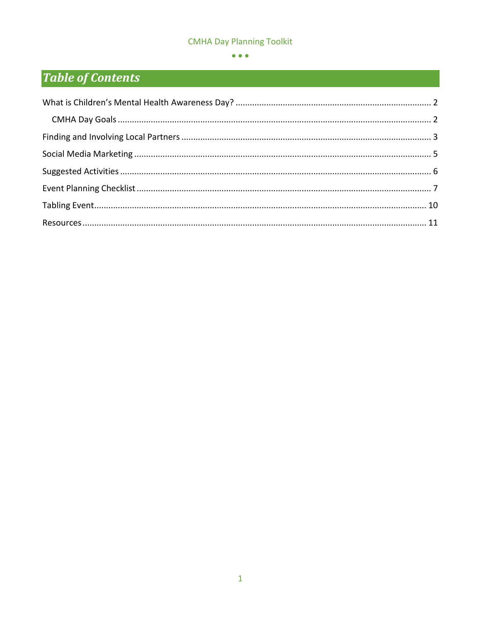#### $\bullet$   $\bullet$   $\bullet$

## **Table of Contents**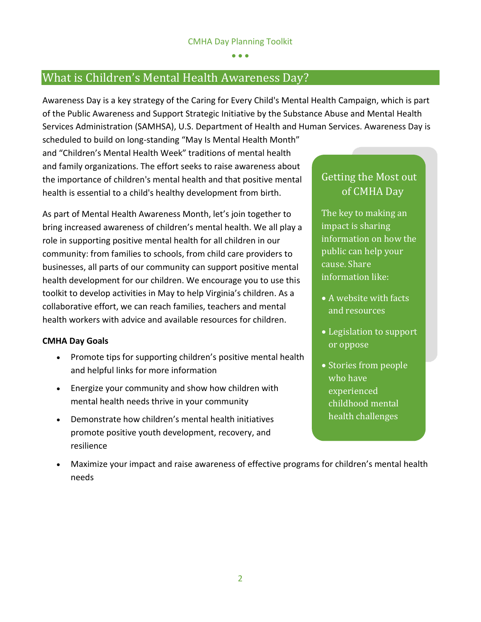## <span id="page-2-0"></span>What is Children's Mental Health Awareness Day?

Awareness Day is a key strategy of the Caring for Every Child's Mental Health Campaign, which is part of the Public Awareness and Support Strategic Initiative by the Substance Abuse and Mental Health Services Administration (SAMHSA), U.S. Department of Health and Human Services. Awareness Day is

scheduled to build on long-standing "May Is Mental Health Month" and "Children's Mental Health Week" traditions of mental health and family organizations. The effort seeks to raise awareness about the importance of children's mental health and that positive mental health is essential to a child's healthy development from birth.

As part of Mental Health Awareness Month, let's join together to bring increased awareness of children's mental health. We all play a role in supporting positive mental health for all children in our community: from families to schools, from child care providers to businesses, all parts of our community can support positive mental health development for our children. We encourage you to use this toolkit to develop activities in May to help Virginia's children. As a collaborative effort, we can reach families, teachers and mental health workers with advice and available resources for children.

#### <span id="page-2-1"></span>**CMHA Day Goals**

- Promote tips for supporting children's positive mental health and helpful links for more information
- Energize your community and show how children with mental health needs thrive in your community
- Demonstrate how children's mental health initiatives promote positive youth development, recovery, and resilience

## Getting the Most out of CMHA Day

The key to making an impact is sharing information on how the public can help your cause. Share information like:

- A website with facts and resources
- Legislation to support or oppose
- Stories from people who have experienced childhood mental health challenges
- Maximize your impact and raise awareness of effective programs for children's mental health needs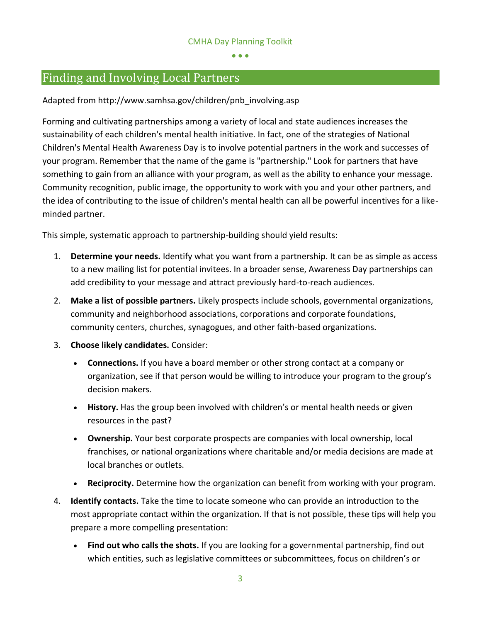## <span id="page-3-0"></span>Finding and Involving Local Partners

Adapted from http://www.samhsa.gov/children/pnb\_involving.asp

Forming and cultivating partnerships among a variety of local and state audiences increases the sustainability of each children's mental health initiative. In fact, one of the strategies of National Children's Mental Health Awareness Day is to involve potential partners in the work and successes of your program. Remember that the name of the game is "partnership." Look for partners that have something to gain from an alliance with your program, as well as the ability to enhance your message. Community recognition, public image, the opportunity to work with you and your other partners, and the idea of contributing to the issue of children's mental health can all be powerful incentives for a likeminded partner.

This simple, systematic approach to partnership-building should yield results:

- 1. **Determine your needs.** Identify what you want from a partnership. It can be as simple as access to a new mailing list for potential invitees. In a broader sense, Awareness Day partnerships can add credibility to your message and attract previously hard-to-reach audiences.
- 2. **Make a list of possible partners.** Likely prospects include schools, governmental organizations, community and neighborhood associations, corporations and corporate foundations, community centers, churches, synagogues, and other faith-based organizations.
- 3. **Choose likely candidates.** Consider:
	- **Connections.** If you have a board member or other strong contact at a company or organization, see if that person would be willing to introduce your program to the group's decision makers.
	- **History.** Has the group been involved with children's or mental health needs or given resources in the past?
	- **Ownership.** Your best corporate prospects are companies with local ownership, local franchises, or national organizations where charitable and/or media decisions are made at local branches or outlets.
	- **Reciprocity.** Determine how the organization can benefit from working with your program.
- 4. **Identify contacts.** Take the time to locate someone who can provide an introduction to the most appropriate contact within the organization. If that is not possible, these tips will help you prepare a more compelling presentation:
	- **Find out who calls the shots.** If you are looking for a governmental partnership, find out which entities, such as legislative committees or subcommittees, focus on children's or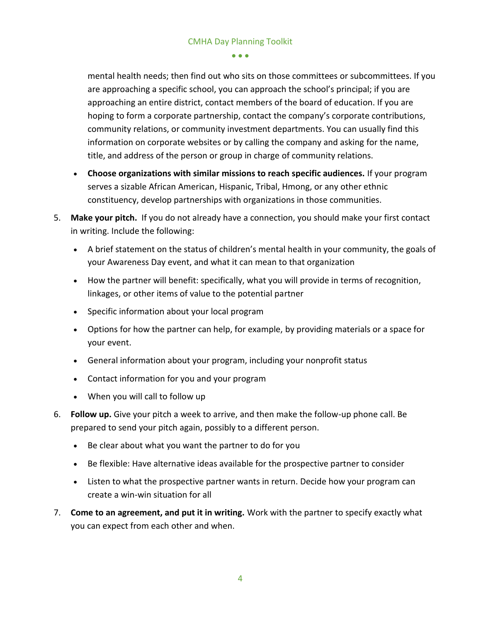mental health needs; then find out who sits on those committees or subcommittees. If you are approaching a specific school, you can approach the school's principal; if you are approaching an entire district, contact members of the board of education. If you are hoping to form a corporate partnership, contact the company's corporate contributions, community relations, or community investment departments. You can usually find this information on corporate websites or by calling the company and asking for the name, title, and address of the person or group in charge of community relations.

- **Choose organizations with similar missions to reach specific audiences.** If your program serves a sizable African American, Hispanic, Tribal, Hmong, or any other ethnic constituency, develop partnerships with organizations in those communities.
- 5. **Make your pitch.** If you do not already have a connection, you should make your first contact in writing. Include the following:
	- A brief statement on the status of children's mental health in your community, the goals of your Awareness Day event, and what it can mean to that organization
	- How the partner will benefit: specifically, what you will provide in terms of recognition, linkages, or other items of value to the potential partner
	- Specific information about your local program
	- Options for how the partner can help, for example, by providing materials or a space for your event.
	- General information about your program, including your nonprofit status
	- Contact information for you and your program
	- When you will call to follow up
- 6. **Follow up.** Give your pitch a week to arrive, and then make the follow-up phone call. Be prepared to send your pitch again, possibly to a different person.
	- Be clear about what you want the partner to do for you
	- Be flexible: Have alternative ideas available for the prospective partner to consider
	- Listen to what the prospective partner wants in return. Decide how your program can create a win-win situation for all
- 7. **Come to an agreement, and put it in writing.** Work with the partner to specify exactly what you can expect from each other and when.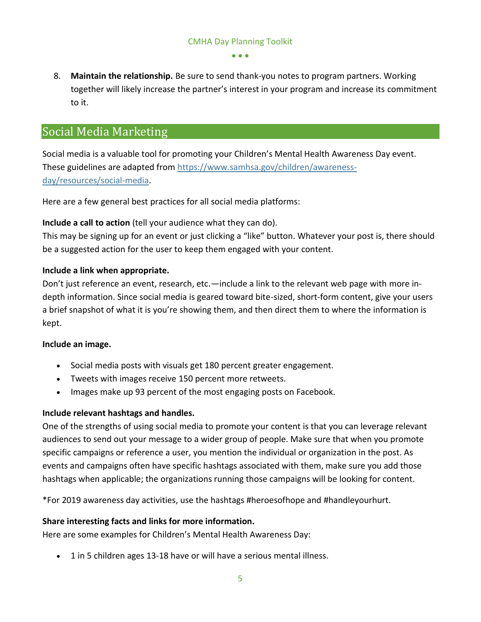8. **Maintain the relationship.** Be sure to send thank-you notes to program partners. Working together will likely increase the partner's interest in your program and increase its commitment to it.

## <span id="page-5-0"></span>Social Media Marketing

Social media is a valuable tool for promoting your Children's Mental Health Awareness Day event. These guidelines are adapted from [https://www.samhsa.gov/children/awareness](https://www.samhsa.gov/children/awareness-day/resources/social-media)[day/resources/social-media.](https://www.samhsa.gov/children/awareness-day/resources/social-media)

Here are a few general best practices for all social media platforms:

#### **Include a call to action** (tell your audience what they can do).

This may be signing up for an event or just clicking a "like" button. Whatever your post is, there should be a suggested action for the user to keep them engaged with your content.

#### **Include a link when appropriate.**

Don't just reference an event, research, etc.—include a link to the relevant web page with more indepth information. Since social media is geared toward bite-sized, short-form content, give your users a brief snapshot of what it is you're showing them, and then direct them to where the information is kept.

#### **Include an image.**

- Social media posts with visuals get 180 percent greater engagement.
- Tweets with images receive 150 percent more retweets.
- Images make up 93 percent of the most engaging posts on Facebook.

## **Include relevant hashtags and handles.**

One of the strengths of using social media to promote your content is that you can leverage relevant audiences to send out your message to a wider group of people. Make sure that when you promote specific campaigns or reference a user, you mention the individual or organization in the post. As events and campaigns often have specific hashtags associated with them, make sure you add those hashtags when applicable; the organizations running those campaigns will be looking for content.

\*For 2019 awareness day activities, use the hashtags #heroesofhope and #handleyourhurt.

#### **Share interesting facts and links for more information.**

Here are some examples for Children's Mental Health Awareness Day:

• 1 in 5 children ages 13-18 have or will have a serious mental illness.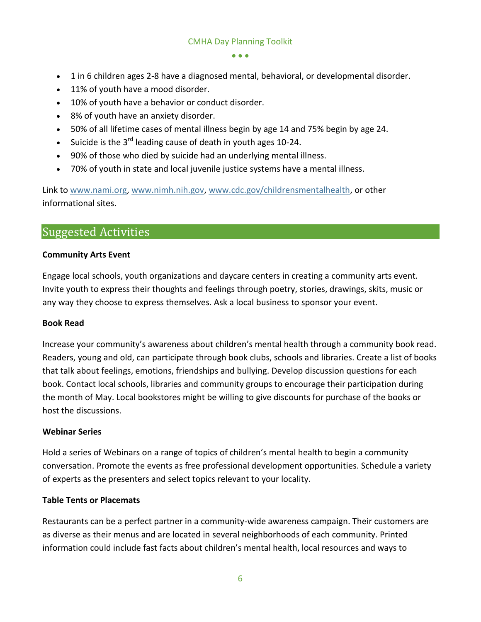$\bullet$   $\bullet$   $\bullet$ 

- 1 in 6 children ages 2-8 have a diagnosed mental, behavioral, or developmental disorder.
- 11% of youth have a mood disorder.
- 10% of youth have a behavior or conduct disorder.
- 8% of youth have an anxiety disorder.
- 50% of all lifetime cases of mental illness begin by age 14 and 75% begin by age 24.
- Suicide is the  $3^{rd}$  leading cause of death in youth ages 10-24.
- 90% of those who died by suicide had an underlying mental illness.
- 70% of youth in state and local juvenile justice systems have a mental illness.

Link to [www.nami.org,](file:///C:/Users/rmf97433/Documents/CMHA%20Day/www.nami.org) [www.nimh.nih.gov,](http://www.nimh.nih.gov/) [www.cdc.gov/childrensmentalhealth,](http://www.cdc.gov/childrensmentalhealth) or other informational sites.

## <span id="page-6-0"></span>Suggested Activities

#### **Community Arts Event**

Engage local schools, youth organizations and daycare centers in creating a community arts event. Invite youth to express their thoughts and feelings through poetry, stories, drawings, skits, music or any way they choose to express themselves. Ask a local business to sponsor your event.

#### **Book Read**

Increase your community's awareness about children's mental health through a community book read. Readers, young and old, can participate through book clubs, schools and libraries. Create a list of books that talk about feelings, emotions, friendships and bullying. Develop discussion questions for each book. Contact local schools, libraries and community groups to encourage their participation during the month of May. Local bookstores might be willing to give discounts for purchase of the books or host the discussions.

#### **Webinar Series**

Hold a series of Webinars on a range of topics of children's mental health to begin a community conversation. Promote the events as free professional development opportunities. Schedule a variety of experts as the presenters and select topics relevant to your locality.

#### **Table Tents or Placemats**

Restaurants can be a perfect partner in a community-wide awareness campaign. Their customers are as diverse as their menus and are located in several neighborhoods of each community. Printed information could include fast facts about children's mental health, local resources and ways to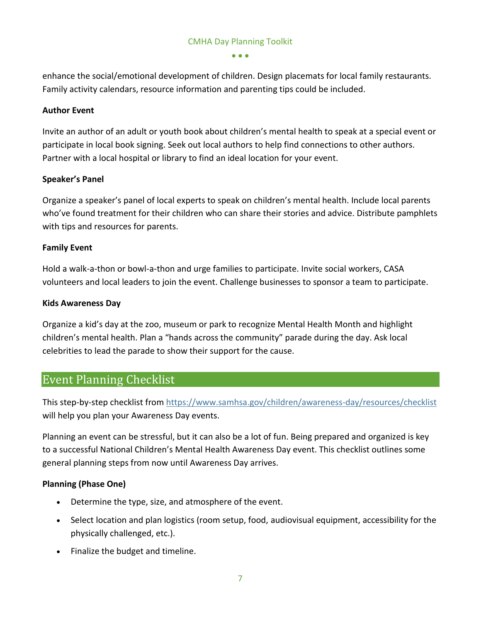$\bullet$   $\bullet$   $\bullet$ 

enhance the social/emotional development of children. Design placemats for local family restaurants. Family activity calendars, resource information and parenting tips could be included.

#### **Author Event**

Invite an author of an adult or youth book about children's mental health to speak at a special event or participate in local book signing. Seek out local authors to help find connections to other authors. Partner with a local hospital or library to find an ideal location for your event.

#### **Speaker's Panel**

Organize a speaker's panel of local experts to speak on children's mental health. Include local parents who've found treatment for their children who can share their stories and advice. Distribute pamphlets with tips and resources for parents.

#### **Family Event**

Hold a walk-a-thon or bowl-a-thon and urge families to participate. Invite social workers, CASA volunteers and local leaders to join the event. Challenge businesses to sponsor a team to participate.

#### **Kids Awareness Day**

Organize a kid's day at the zoo, museum or park to recognize Mental Health Month and highlight children's mental health. Plan a "hands across the community" parade during the day. Ask local celebrities to lead the parade to show their support for the cause.

## <span id="page-7-0"></span>Event Planning Checklist

This step-by-step checklist from<https://www.samhsa.gov/children/awareness-day/resources/checklist> will help you plan your Awareness Day events.

Planning an event can be stressful, but it can also be a lot of fun. Being prepared and organized is key to a successful National Children's Mental Health Awareness Day event. This checklist outlines some general planning steps from now until Awareness Day arrives.

#### **Planning (Phase One)**

- Determine the type, size, and atmosphere of the event.
- Select location and plan logistics (room setup, food, audiovisual equipment, accessibility for the physically challenged, etc.).
- Finalize the budget and timeline.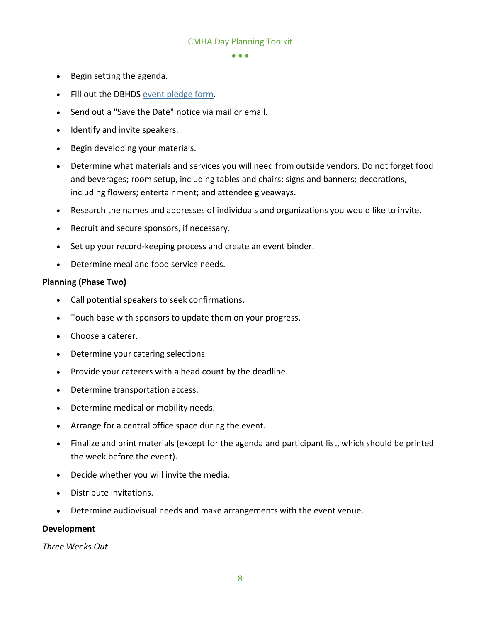$\bullet$   $\bullet$   $\bullet$ 

- Begin setting the agenda.
- Fill out the DBHDS [event pledge form.](https://www.surveymonkey.com/r/3LZBCYC)
- Send out a "Save the Date" notice via mail or email.
- Identify and invite speakers.
- Begin developing your materials.
- Determine what materials and services you will need from outside vendors. Do not forget food and beverages; room setup, including tables and chairs; signs and banners; decorations, including flowers; entertainment; and attendee giveaways.
- Research the names and addresses of individuals and organizations you would like to invite.
- Recruit and secure sponsors, if necessary.
- Set up your record-keeping process and create an event binder.
- Determine meal and food service needs.

#### **Planning (Phase Two)**

- Call potential speakers to seek confirmations.
- Touch base with sponsors to update them on your progress.
- Choose a caterer.
- Determine your catering selections.
- Provide your caterers with a head count by the deadline.
- Determine transportation access.
- Determine medical or mobility needs.
- Arrange for a central office space during the event.
- Finalize and print materials (except for the agenda and participant list, which should be printed the week before the event).
- Decide whether you will invite the media.
- Distribute invitations.
- Determine audiovisual needs and make arrangements with the event venue.

#### **Development**

*Three Weeks Out*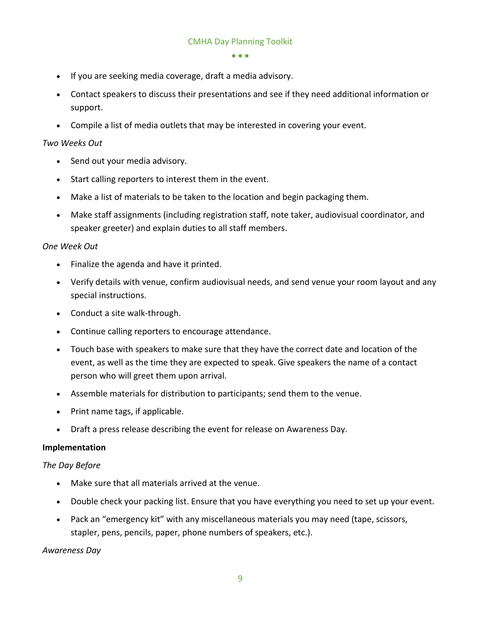- If you are seeking media coverage, draft a media advisory.
- Contact speakers to discuss their presentations and see if they need additional information or support.
- Compile a list of media outlets that may be interested in covering your event.

#### *Two Weeks Out*

- Send out your media advisory.
- Start calling reporters to interest them in the event.
- Make a list of materials to be taken to the location and begin packaging them.
- Make staff assignments (including registration staff, note taker, audiovisual coordinator, and speaker greeter) and explain duties to all staff members.

#### *One Week Out*

- Finalize the agenda and have it printed.
- Verify details with venue, confirm audiovisual needs, and send venue your room layout and any special instructions.
- Conduct a site walk-through.
- Continue calling reporters to encourage attendance.
- Touch base with speakers to make sure that they have the correct date and location of the event, as well as the time they are expected to speak. Give speakers the name of a contact person who will greet them upon arrival.
- Assemble materials for distribution to participants; send them to the venue.
- Print name tags, if applicable.
- Draft a press release describing the event for release on Awareness Day.

#### **Implementation**

#### *The Day Before*

- Make sure that all materials arrived at the venue.
- Double check your packing list. Ensure that you have everything you need to set up your event.
- Pack an "emergency kit" with any miscellaneous materials you may need (tape, scissors, stapler, pens, pencils, paper, phone numbers of speakers, etc.).

#### *Awareness Day*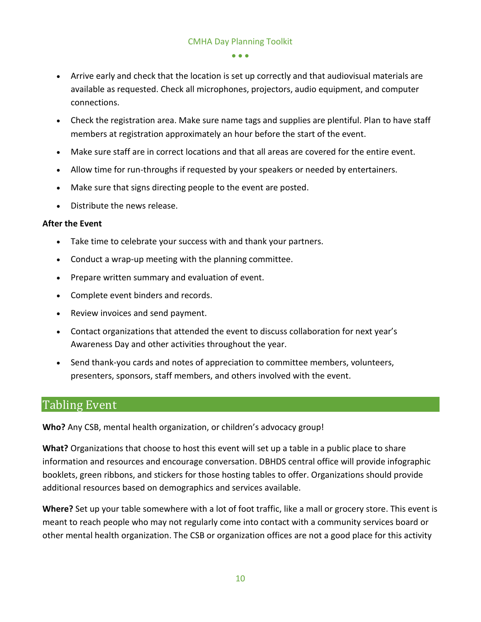- Arrive early and check that the location is set up correctly and that audiovisual materials are available as requested. Check all microphones, projectors, audio equipment, and computer connections.
- Check the registration area. Make sure name tags and supplies are plentiful. Plan to have staff members at registration approximately an hour before the start of the event.
- Make sure staff are in correct locations and that all areas are covered for the entire event.
- Allow time for run-throughs if requested by your speakers or needed by entertainers.
- Make sure that signs directing people to the event are posted.
- Distribute the news release.

#### **After the Event**

- Take time to celebrate your success with and thank your partners.
- Conduct a wrap-up meeting with the planning committee.
- Prepare written summary and evaluation of event.
- Complete event binders and records.
- Review invoices and send payment.
- Contact organizations that attended the event to discuss collaboration for next year's Awareness Day and other activities throughout the year.
- Send thank-you cards and notes of appreciation to committee members, volunteers, presenters, sponsors, staff members, and others involved with the event.

## <span id="page-10-0"></span>Tabling Event

**Who?** Any CSB, mental health organization, or children's advocacy group!

**What?** Organizations that choose to host this event will set up a table in a public place to share information and resources and encourage conversation. DBHDS central office will provide infographic booklets, green ribbons, and stickers for those hosting tables to offer. Organizations should provide additional resources based on demographics and services available.

**Where?** Set up your table somewhere with a lot of foot traffic, like a mall or grocery store. This event is meant to reach people who may not regularly come into contact with a community services board or other mental health organization. The CSB or organization offices are not a good place for this activity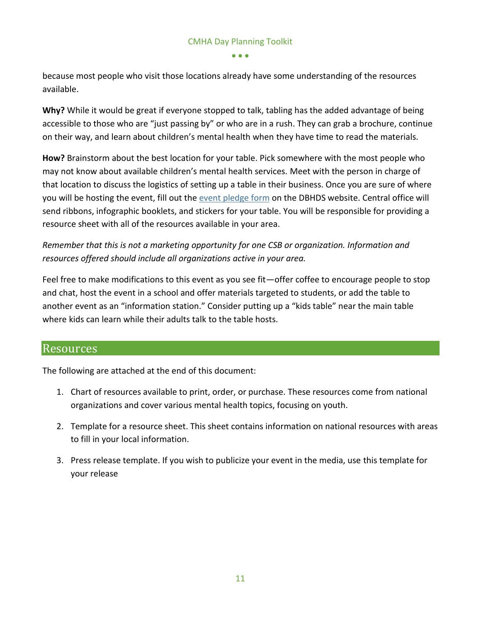because most people who visit those locations already have some understanding of the resources available.

**Why?** While it would be great if everyone stopped to talk, tabling has the added advantage of being accessible to those who are "just passing by" or who are in a rush. They can grab a brochure, continue on their way, and learn about children's mental health when they have time to read the materials.

**How?** Brainstorm about the best location for your table. Pick somewhere with the most people who may not know about available children's mental health services. Meet with the person in charge of that location to discuss the logistics of setting up a table in their business. Once you are sure of where you will be hosting the event, fill out the [event pledge form](https://www.surveymonkey.com/r/3LZBCYC) on the DBHDS website. Central office will send ribbons, infographic booklets, and stickers for your table. You will be responsible for providing a resource sheet with all of the resources available in your area.

*Remember that this is not a marketing opportunity for one CSB or organization. Information and resources offered should include all organizations active in your area.* 

Feel free to make modifications to this event as you see fit—offer coffee to encourage people to stop and chat, host the event in a school and offer materials targeted to students, or add the table to another event as an "information station." Consider putting up a "kids table" near the main table where kids can learn while their adults talk to the table hosts.

## <span id="page-11-0"></span>Resources

The following are attached at the end of this document:

- 1. Chart of resources available to print, order, or purchase. These resources come from national organizations and cover various mental health topics, focusing on youth.
- 2. Template for a resource sheet. This sheet contains information on national resources with areas to fill in your local information.
- 3. Press release template. If you wish to publicize your event in the media, use this template for your release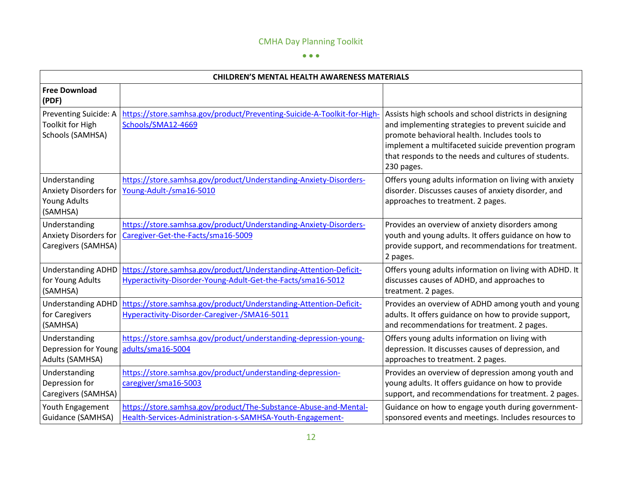#### $\bullet$   $\bullet$   $\bullet$

| <b>CHILDREN'S MENTAL HEALTH AWARENESS MATERIALS</b>                              |                                                                                                                                  |                                                                                                                                                                                                                                                                                           |  |
|----------------------------------------------------------------------------------|----------------------------------------------------------------------------------------------------------------------------------|-------------------------------------------------------------------------------------------------------------------------------------------------------------------------------------------------------------------------------------------------------------------------------------------|--|
| <b>Free Download</b><br>(PDF)                                                    |                                                                                                                                  |                                                                                                                                                                                                                                                                                           |  |
| Preventing Suicide: A<br><b>Toolkit for High</b><br>Schools (SAMHSA)             | https://store.samhsa.gov/product/Preventing-Suicide-A-Toolkit-for-High-<br>Schools/SMA12-4669                                    | Assists high schools and school districts in designing<br>and implementing strategies to prevent suicide and<br>promote behavioral health. Includes tools to<br>implement a multifaceted suicide prevention program<br>that responds to the needs and cultures of students.<br>230 pages. |  |
| Understanding<br><b>Anxiety Disorders for</b><br><b>Young Adults</b><br>(SAMHSA) | https://store.samhsa.gov/product/Understanding-Anxiety-Disorders-<br>Young-Adult-/sma16-5010                                     | Offers young adults information on living with anxiety<br>disorder. Discusses causes of anxiety disorder, and<br>approaches to treatment. 2 pages.                                                                                                                                        |  |
| Understanding<br><b>Anxiety Disorders for</b><br>Caregivers (SAMHSA)             | https://store.samhsa.gov/product/Understanding-Anxiety-Disorders-<br>Caregiver-Get-the-Facts/sma16-5009                          | Provides an overview of anxiety disorders among<br>youth and young adults. It offers guidance on how to<br>provide support, and recommendations for treatment.<br>2 pages.                                                                                                                |  |
| <b>Understanding ADHD</b><br>for Young Adults<br>(SAMHSA)                        | https://store.samhsa.gov/product/Understanding-Attention-Deficit-<br>Hyperactivity-Disorder-Young-Adult-Get-the-Facts/sma16-5012 | Offers young adults information on living with ADHD. It<br>discusses causes of ADHD, and approaches to<br>treatment. 2 pages.                                                                                                                                                             |  |
| <b>Understanding ADHD</b><br>for Caregivers<br>(SAMHSA)                          | https://store.samhsa.gov/product/Understanding-Attention-Deficit-<br>Hyperactivity-Disorder-Caregiver-/SMA16-5011                | Provides an overview of ADHD among youth and young<br>adults. It offers guidance on how to provide support,<br>and recommendations for treatment. 2 pages.                                                                                                                                |  |
| Understanding<br>Depression for Young<br>Adults (SAMHSA)                         | https://store.samhsa.gov/product/understanding-depression-young-<br>adults/sma16-5004                                            | Offers young adults information on living with<br>depression. It discusses causes of depression, and<br>approaches to treatment. 2 pages.                                                                                                                                                 |  |
| Understanding<br>Depression for<br>Caregivers (SAMHSA)                           | https://store.samhsa.gov/product/understanding-depression-<br>caregiver/sma16-5003                                               | Provides an overview of depression among youth and<br>young adults. It offers guidance on how to provide<br>support, and recommendations for treatment. 2 pages.                                                                                                                          |  |
| Youth Engagement<br>Guidance (SAMHSA)                                            | https://store.samhsa.gov/product/The-Substance-Abuse-and-Mental-<br>Health-Services-Administration-s-SAMHSA-Youth-Engagement-    | Guidance on how to engage youth during government-<br>sponsored events and meetings. Includes resources to                                                                                                                                                                                |  |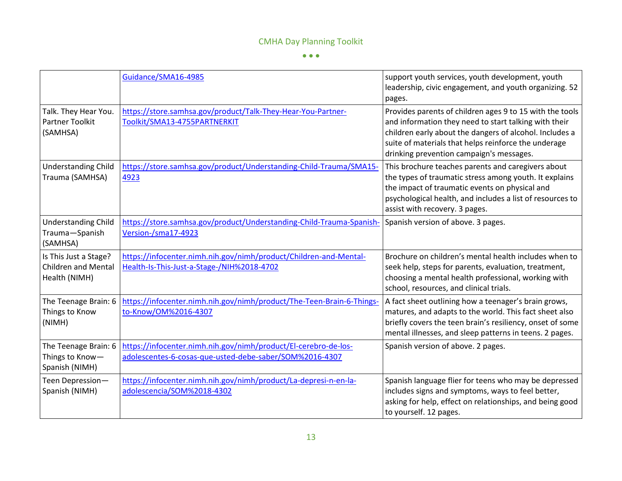$\bullet$   $\bullet$   $\bullet$ 

|                                                                      | Guidance/SMA16-4985                                                                                                        | support youth services, youth development, youth<br>leadership, civic engagement, and youth organizing. 52<br>pages.                                                                                                                                                             |
|----------------------------------------------------------------------|----------------------------------------------------------------------------------------------------------------------------|----------------------------------------------------------------------------------------------------------------------------------------------------------------------------------------------------------------------------------------------------------------------------------|
| Talk. They Hear You.<br>Partner Toolkit<br>(SAMHSA)                  | https://store.samhsa.gov/product/Talk-They-Hear-You-Partner-<br>Toolkit/SMA13-4755PARTNERKIT                               | Provides parents of children ages 9 to 15 with the tools<br>and information they need to start talking with their<br>children early about the dangers of alcohol. Includes a<br>suite of materials that helps reinforce the underage<br>drinking prevention campaign's messages. |
| <b>Understanding Child</b><br>Trauma (SAMHSA)                        | https://store.samhsa.gov/product/Understanding-Child-Trauma/SMA15-<br>4923                                                 | This brochure teaches parents and caregivers about<br>the types of traumatic stress among youth. It explains<br>the impact of traumatic events on physical and<br>psychological health, and includes a list of resources to<br>assist with recovery. 3 pages.                    |
| <b>Understanding Child</b><br>Trauma-Spanish<br>(SAMHSA)             | https://store.samhsa.gov/product/Understanding-Child-Trauma-Spanish-<br>Version-/sma17-4923                                | Spanish version of above. 3 pages.                                                                                                                                                                                                                                               |
| Is This Just a Stage?<br><b>Children and Mental</b><br>Health (NIMH) | https://infocenter.nimh.nih.gov/nimh/product/Children-and-Mental-<br>Health-Is-This-Just-a-Stage-/NIH%2018-4702            | Brochure on children's mental health includes when to<br>seek help, steps for parents, evaluation, treatment,<br>choosing a mental health professional, working with<br>school, resources, and clinical trials.                                                                  |
| The Teenage Brain: 6<br>Things to Know<br>(NIMH)                     | https://infocenter.nimh.nih.gov/nimh/product/The-Teen-Brain-6-Things-<br>to-Know/OM%2016-4307                              | A fact sheet outlining how a teenager's brain grows,<br>matures, and adapts to the world. This fact sheet also<br>briefly covers the teen brain's resiliency, onset of some<br>mental illnesses, and sleep patterns in teens. 2 pages.                                           |
| The Teenage Brain: 6<br>Things to Know-<br>Spanish (NIMH)            | https://infocenter.nimh.nih.gov/nimh/product/El-cerebro-de-los-<br>adolescentes-6-cosas-que-usted-debe-saber/SOM%2016-4307 | Spanish version of above. 2 pages.                                                                                                                                                                                                                                               |
| Teen Depression-<br>Spanish (NIMH)                                   | https://infocenter.nimh.nih.gov/nimh/product/La-depresi-n-en-la-<br>adolescencia/SOM%2018-4302                             | Spanish language flier for teens who may be depressed<br>includes signs and symptoms, ways to feel better,<br>asking for help, effect on relationships, and being good<br>to yourself. 12 pages.                                                                                 |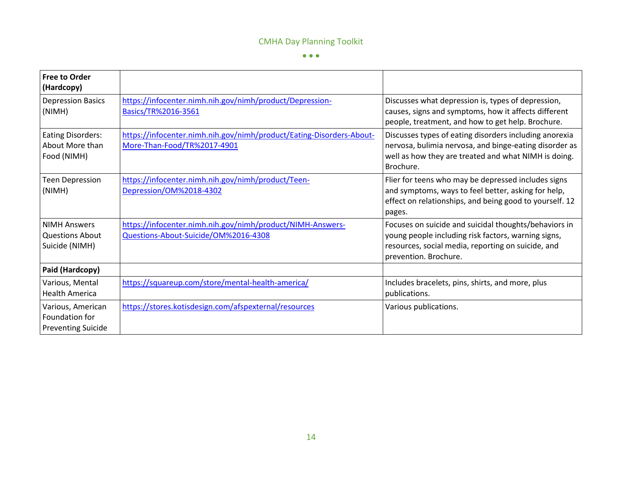$\bullet$   $\bullet$   $\bullet$ 

| <b>Free to Order</b><br>(Hardcopy)                               |                                                                                                     |                                                                                                                                                                                             |
|------------------------------------------------------------------|-----------------------------------------------------------------------------------------------------|---------------------------------------------------------------------------------------------------------------------------------------------------------------------------------------------|
| <b>Depression Basics</b><br>(NIMH)                               | https://infocenter.nimh.nih.gov/nimh/product/Depression-<br>Basics/TR%2016-3561                     | Discusses what depression is, types of depression,<br>causes, signs and symptoms, how it affects different<br>people, treatment, and how to get help. Brochure.                             |
| <b>Eating Disorders:</b><br>About More than<br>Food (NIMH)       | https://infocenter.nimh.nih.gov/nimh/product/Eating-Disorders-About-<br>More-Than-Food/TR%2017-4901 | Discusses types of eating disorders including anorexia<br>nervosa, bulimia nervosa, and binge-eating disorder as<br>well as how they are treated and what NIMH is doing.<br>Brochure.       |
| <b>Teen Depression</b><br>(NIMH)                                 | https://infocenter.nimh.nih.gov/nimh/product/Teen-<br>Depression/OM%2018-4302                       | Flier for teens who may be depressed includes signs<br>and symptoms, ways to feel better, asking for help,<br>effect on relationships, and being good to yourself. 12<br>pages.             |
| <b>NIMH Answers</b><br><b>Questions About</b><br>Suicide (NIMH)  | https://infocenter.nimh.nih.gov/nimh/product/NIMH-Answers-<br>Questions-About-Suicide/OM%2016-4308  | Focuses on suicide and suicidal thoughts/behaviors in<br>young people including risk factors, warning signs,<br>resources, social media, reporting on suicide, and<br>prevention. Brochure. |
| Paid (Hardcopy)                                                  |                                                                                                     |                                                                                                                                                                                             |
| Various, Mental<br><b>Health America</b>                         | https://squareup.com/store/mental-health-america/                                                   | Includes bracelets, pins, shirts, and more, plus<br>publications.                                                                                                                           |
| Various, American<br>Foundation for<br><b>Preventing Suicide</b> | https://stores.kotisdesign.com/afspexternal/resources                                               | Various publications.                                                                                                                                                                       |